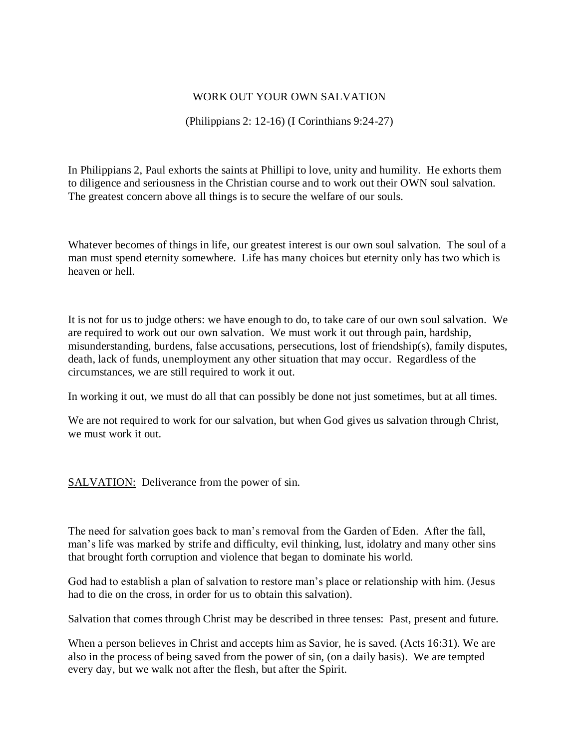## WORK OUT YOUR OWN SALVATION

(Philippians 2: 12-16) (I Corinthians 9:24-27)

In Philippians 2, Paul exhorts the saints at Phillipi to love, unity and humility. He exhorts them to diligence and seriousness in the Christian course and to work out their OWN soul salvation. The greatest concern above all things is to secure the welfare of our souls.

Whatever becomes of things in life, our greatest interest is our own soul salvation. The soul of a man must spend eternity somewhere. Life has many choices but eternity only has two which is heaven or hell.

It is not for us to judge others: we have enough to do, to take care of our own soul salvation. We are required to work out our own salvation. We must work it out through pain, hardship, misunderstanding, burdens, false accusations, persecutions, lost of friendship(s), family disputes, death, lack of funds, unemployment any other situation that may occur. Regardless of the circumstances, we are still required to work it out.

In working it out, we must do all that can possibly be done not just sometimes, but at all times.

We are not required to work for our salvation, but when God gives us salvation through Christ, we must work it out.

SALVATION: Deliverance from the power of sin.

The need for salvation goes back to man's removal from the Garden of Eden. After the fall, man's life was marked by strife and difficulty, evil thinking, lust, idolatry and many other sins that brought forth corruption and violence that began to dominate his world.

God had to establish a plan of salvation to restore man's place or relationship with him. (Jesus had to die on the cross, in order for us to obtain this salvation).

Salvation that comes through Christ may be described in three tenses: Past, present and future.

When a person believes in Christ and accepts him as Savior, he is saved. (Acts 16:31). We are also in the process of being saved from the power of sin, (on a daily basis). We are tempted every day, but we walk not after the flesh, but after the Spirit.